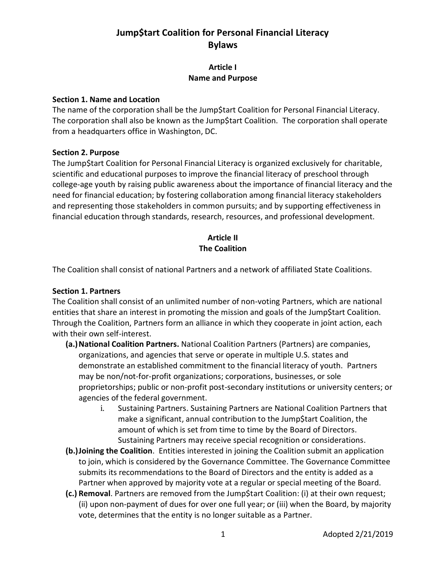#### **Article I Name and Purpose**

#### **Section 1. Name and Location**

The name of the corporation shall be the Jump\$tart Coalition for Personal Financial Literacy. The corporation shall also be known as the Jump\$tart Coalition. The corporation shall operate from a headquarters office in Washington, DC.

#### **Section 2. Purpose**

The Jump\$tart Coalition for Personal Financial Literacy is organized exclusively for charitable, scientific and educational purposes to improve the financial literacy of preschool through college-age youth by raising public awareness about the importance of financial literacy and the need for financial education; by fostering collaboration among financial literacy stakeholders and representing those stakeholders in common pursuits; and by supporting effectiveness in financial education through standards, research, resources, and professional development.

### **Article II The Coalition**

The Coalition shall consist of national Partners and a network of affiliated State Coalitions.

#### **Section 1. Partners**

The Coalition shall consist of an unlimited number of non-voting Partners, which are national entities that share an interest in promoting the mission and goals of the Jump\$tart Coalition. Through the Coalition, Partners form an alliance in which they cooperate in joint action, each with their own self-interest.

- **(a.)National Coalition Partners.** National Coalition Partners (Partners) are companies, organizations, and agencies that serve or operate in multiple U.S. states and demonstrate an established commitment to the financial literacy of youth. Partners may be non/not-for-profit organizations; corporations, businesses, or sole proprietorships; public or non-profit post-secondary institutions or university centers; or agencies of the federal government.
	- i. Sustaining Partners. Sustaining Partners are National Coalition Partners that make a significant, annual contribution to the Jump\$tart Coalition, the amount of which is set from time to time by the Board of Directors. Sustaining Partners may receive special recognition or considerations.
- **(b.)Joining the Coalition**. Entities interested in joining the Coalition submit an application to join, which is considered by the Governance Committee. The Governance Committee submits its recommendations to the Board of Directors and the entity is added as a Partner when approved by majority vote at a regular or special meeting of the Board.
- **(c.) Removal**. Partners are removed from the Jump\$tart Coalition: (i) at their own request; (ii) upon non-payment of dues for over one full year; or (iii) when the Board, by majority vote, determines that the entity is no longer suitable as a Partner.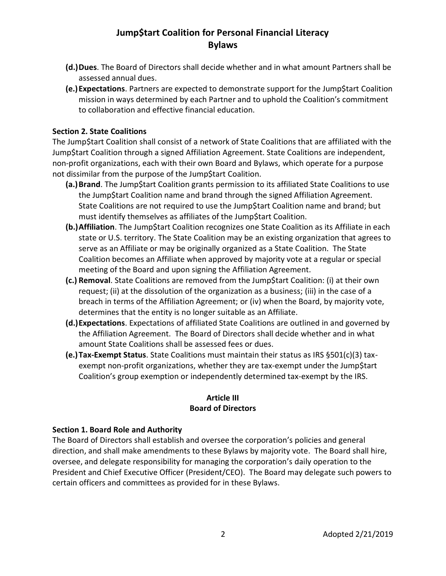- **(d.)Dues**. The Board of Directors shall decide whether and in what amount Partners shall be assessed annual dues.
- **(e.)Expectations**. Partners are expected to demonstrate support for the Jump\$tart Coalition mission in ways determined by each Partner and to uphold the Coalition's commitment to collaboration and effective financial education.

#### **Section 2. State Coalitions**

The Jump\$tart Coalition shall consist of a network of State Coalitions that are affiliated with the Jump\$tart Coalition through a signed Affiliation Agreement. State Coalitions are independent, non-profit organizations, each with their own Board and Bylaws, which operate for a purpose not dissimilar from the purpose of the Jump\$tart Coalition.

- **(a.)Brand**. The Jump\$tart Coalition grants permission to its affiliated State Coalitions to use the Jump\$tart Coalition name and brand through the signed Affiliation Agreement. State Coalitions are not required to use the Jump\$tart Coalition name and brand; but must identify themselves as affiliates of the Jump\$tart Coalition.
- **(b.)Affiliation**. The Jump\$tart Coalition recognizes one State Coalition as its Affiliate in each state or U.S. territory. The State Coalition may be an existing organization that agrees to serve as an Affiliate or may be originally organized as a State Coalition. The State Coalition becomes an Affiliate when approved by majority vote at a regular or special meeting of the Board and upon signing the Affiliation Agreement.
- **(c.) Removal**. State Coalitions are removed from the Jump\$tart Coalition: (i) at their own request; (ii) at the dissolution of the organization as a business; (iii) in the case of a breach in terms of the Affiliation Agreement; or (iv) when the Board, by majority vote, determines that the entity is no longer suitable as an Affiliate.
- **(d.)Expectations**. Expectations of affiliated State Coalitions are outlined in and governed by the Affiliation Agreement. The Board of Directors shall decide whether and in what amount State Coalitions shall be assessed fees or dues.
- **(e.)Tax-Exempt Status**. State Coalitions must maintain their status as IRS §501(c)(3) taxexempt non-profit organizations, whether they are tax-exempt under the Jump\$tart Coalition's group exemption or independently determined tax-exempt by the IRS.

#### **Article III Board of Directors**

#### **Section 1. Board Role and Authority**

The Board of Directors shall establish and oversee the corporation's policies and general direction, and shall make amendments to these Bylaws by majority vote. The Board shall hire, oversee, and delegate responsibility for managing the corporation's daily operation to the President and Chief Executive Officer (President/CEO). The Board may delegate such powers to certain officers and committees as provided for in these Bylaws.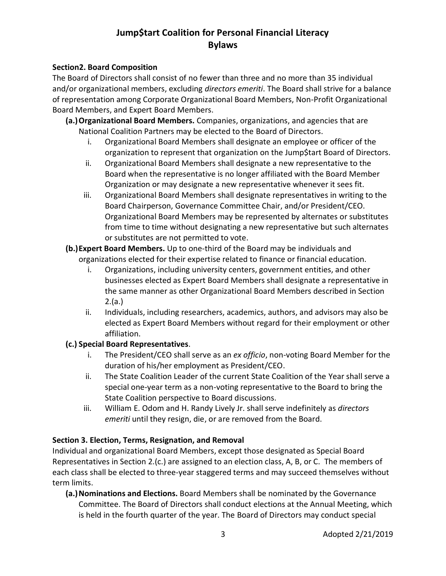#### **Section2. Board Composition**

The Board of Directors shall consist of no fewer than three and no more than 35 individual and/or organizational members, excluding *directors emeriti*. The Board shall strive for a balance of representation among Corporate Organizational Board Members, Non-Profit Organizational Board Members, and Expert Board Members.

**(a.)Organizational Board Members.** Companies, organizations, and agencies that are National Coalition Partners may be elected to the Board of Directors.

- i. Organizational Board Members shall designate an employee or officer of the organization to represent that organization on the Jump\$tart Board of Directors.
- ii. Organizational Board Members shall designate a new representative to the Board when the representative is no longer affiliated with the Board Member Organization or may designate a new representative whenever it sees fit.
- iii. Organizational Board Members shall designate representatives in writing to the Board Chairperson, Governance Committee Chair, and/or President/CEO. Organizational Board Members may be represented by alternates or substitutes from time to time without designating a new representative but such alternates or substitutes are not permitted to vote.
- **(b.)Expert Board Members.** Up to one-third of the Board may be individuals and organizations elected for their expertise related to finance or financial education.
	- i. Organizations, including university centers, government entities, and other businesses elected as Expert Board Members shall designate a representative in the same manner as other Organizational Board Members described in Section 2.(a.)
	- ii. Individuals, including researchers, academics, authors, and advisors may also be elected as Expert Board Members without regard for their employment or other affiliation.

### **(c.) Special Board Representatives**.

- i. The President/CEO shall serve as an *ex officio*, non-voting Board Member for the duration of his/her employment as President/CEO.
- ii. The State Coalition Leader of the current State Coalition of the Year shall serve a special one-year term as a non-voting representative to the Board to bring the State Coalition perspective to Board discussions.
- iii. William E. Odom and H. Randy Lively Jr. shall serve indefinitely as *directors emeriti* until they resign, die, or are removed from the Board.

### **Section 3. Election, Terms, Resignation, and Removal**

Individual and organizational Board Members, except those designated as Special Board Representatives in Section 2.(c.) are assigned to an election class, A, B, or C. The members of each class shall be elected to three-year staggered terms and may succeed themselves without term limits.

**(a.)Nominations and Elections.** Board Members shall be nominated by the Governance Committee. The Board of Directors shall conduct elections at the Annual Meeting, which is held in the fourth quarter of the year. The Board of Directors may conduct special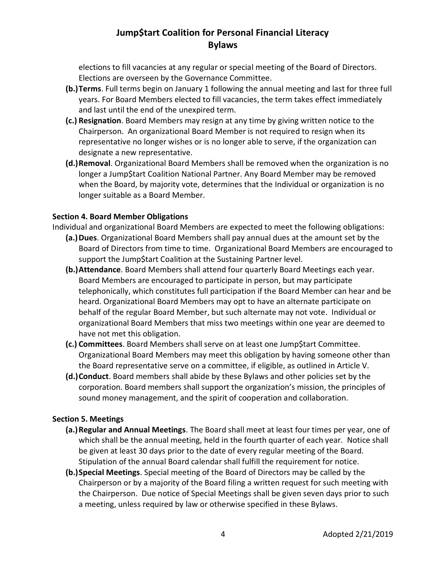elections to fill vacancies at any regular or special meeting of the Board of Directors. Elections are overseen by the Governance Committee.

- **(b.)Terms**. Full terms begin on January 1 following the annual meeting and last for three full years. For Board Members elected to fill vacancies, the term takes effect immediately and last until the end of the unexpired term.
- **(c.) Resignation**. Board Members may resign at any time by giving written notice to the Chairperson. An organizational Board Member is not required to resign when its representative no longer wishes or is no longer able to serve, if the organization can designate a new representative.
- **(d.)Removal**. Organizational Board Members shall be removed when the organization is no longer a Jump\$tart Coalition National Partner. Any Board Member may be removed when the Board, by majority vote, determines that the Individual or organization is no longer suitable as a Board Member.

#### **Section 4. Board Member Obligations**

Individual and organizational Board Members are expected to meet the following obligations:

- **(a.)Dues**. Organizational Board Members shall pay annual dues at the amount set by the Board of Directors from time to time. Organizational Board Members are encouraged to support the Jump\$tart Coalition at the Sustaining Partner level.
- **(b.)Attendance**. Board Members shall attend four quarterly Board Meetings each year. Board Members are encouraged to participate in person, but may participate telephonically, which constitutes full participation if the Board Member can hear and be heard. Organizational Board Members may opt to have an alternate participate on behalf of the regular Board Member, but such alternate may not vote. Individual or organizational Board Members that miss two meetings within one year are deemed to have not met this obligation.
- **(c.) Committees**. Board Members shall serve on at least one Jump\$tart Committee. Organizational Board Members may meet this obligation by having someone other than the Board representative serve on a committee, if eligible, as outlined in Article V.
- **(d.)Conduct**. Board members shall abide by these Bylaws and other policies set by the corporation. Board members shall support the organization's mission, the principles of sound money management, and the spirit of cooperation and collaboration.

### **Section 5. Meetings**

- **(a.)Regular and Annual Meetings**. The Board shall meet at least four times per year, one of which shall be the annual meeting, held in the fourth quarter of each year. Notice shall be given at least 30 days prior to the date of every regular meeting of the Board. Stipulation of the annual Board calendar shall fulfill the requirement for notice.
- **(b.)Special Meetings**. Special meeting of the Board of Directors may be called by the Chairperson or by a majority of the Board filing a written request for such meeting with the Chairperson. Due notice of Special Meetings shall be given seven days prior to such a meeting, unless required by law or otherwise specified in these Bylaws.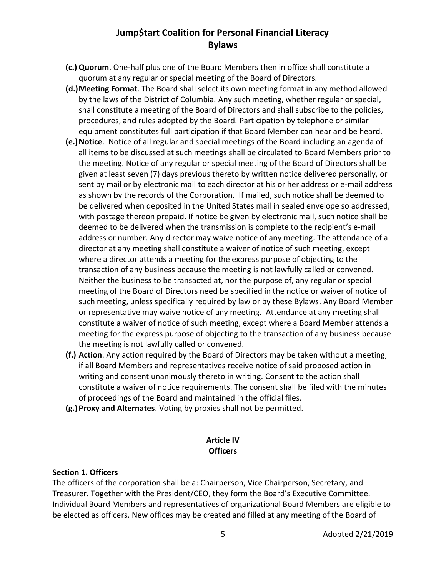- **(c.) Quorum**. One-half plus one of the Board Members then in office shall constitute a quorum at any regular or special meeting of the Board of Directors.
- **(d.)Meeting Format**. The Board shall select its own meeting format in any method allowed by the laws of the District of Columbia. Any such meeting, whether regular or special, shall constitute a meeting of the Board of Directors and shall subscribe to the policies, procedures, and rules adopted by the Board. Participation by telephone or similar equipment constitutes full participation if that Board Member can hear and be heard.
- **(e.)Notice**. Notice of all regular and special meetings of the Board including an agenda of all items to be discussed at such meetings shall be circulated to Board Members prior to the meeting. Notice of any regular or special meeting of the Board of Directors shall be given at least seven (7) days previous thereto by written notice delivered personally, or sent by mail or by electronic mail to each director at his or her address or e-mail address as shown by the records of the Corporation. If mailed, such notice shall be deemed to be delivered when deposited in the United States mail in sealed envelope so addressed, with postage thereon prepaid. If notice be given by electronic mail, such notice shall be deemed to be delivered when the transmission is complete to the recipient's e-mail address or number. Any director may waive notice of any meeting. The attendance of a director at any meeting shall constitute a waiver of notice of such meeting, except where a director attends a meeting for the express purpose of objecting to the transaction of any business because the meeting is not lawfully called or convened. Neither the business to be transacted at, nor the purpose of, any regular or special meeting of the Board of Directors need be specified in the notice or waiver of notice of such meeting, unless specifically required by law or by these Bylaws. Any Board Member or representative may waive notice of any meeting. Attendance at any meeting shall constitute a waiver of notice of such meeting, except where a Board Member attends a meeting for the express purpose of objecting to the transaction of any business because the meeting is not lawfully called or convened.
- **(f.) Action**. Any action required by the Board of Directors may be taken without a meeting, if all Board Members and representatives receive notice of said proposed action in writing and consent unanimously thereto in writing. Consent to the action shall constitute a waiver of notice requirements. The consent shall be filed with the minutes of proceedings of the Board and maintained in the official files.
- **(g.)Proxy and Alternates**. Voting by proxies shall not be permitted.

### **Article IV Officers**

#### **Section 1. Officers**

The officers of the corporation shall be a: Chairperson, Vice Chairperson, Secretary, and Treasurer. Together with the President/CEO, they form the Board's Executive Committee. Individual Board Members and representatives of organizational Board Members are eligible to be elected as officers. New offices may be created and filled at any meeting of the Board of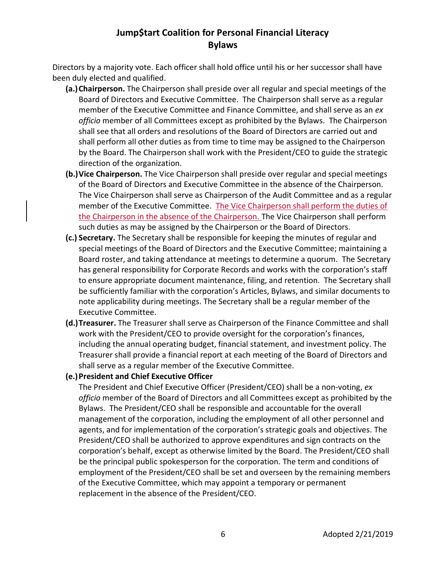Directors by a majority vote. Each officer shall hold office until his or her successor shall have been duly elected and qualified.

- **(a.)Chairperson.** The Chairperson shall preside over all regular and special meetings of the Board of Directors and Executive Committee. The Chairperson shall serve as a regular member of the Executive Committee and Finance Committee, and shall serve as an *ex officio* member of all Committees except as prohibited by the Bylaws. The Chairperson shall see that all orders and resolutions of the Board of Directors are carried out and shall perform all other duties as from time to time may be assigned to the Chairperson by the Board. The Chairperson shall work with the President/CEO to guide the strategic direction of the organization.
- **(b.)Vice Chairperson.** The Vice Chairperson shall preside over regular and special meetings of the Board of Directors and Executive Committee in the absence of the Chairperson. The Vice Chairperson shall serve as Chairperson of the Audit Committee and as a regular member of the Executive Committee. The Vice Chairperson shall perform the duties of the Chairperson in the absence of the Chairperson. The Vice Chairperson shall perform such duties as may be assigned by the Chairperson or the Board of Directors.
- **(c.) Secretary.** The Secretary shall be responsible for keeping the minutes of regular and special meetings of the Board of Directors and the Executive Committee; maintaining a Board roster, and taking attendance at meetings to determine a quorum. The Secretary has general responsibility for Corporate Records and works with the corporation's staff to ensure appropriate document maintenance, filing, and retention. The Secretary shall be sufficiently familiar with the corporation's Articles, Bylaws, and similar documents to note applicability during meetings. The Secretary shall be a regular member of the Executive Committee.
- **(d.)Treasurer.** The Treasurer shall serve as Chairperson of the Finance Committee and shall work with the President/CEO to provide oversight for the corporation's finances, including the annual operating budget, financial statement, and investment policy. The Treasurer shall provide a financial report at each meeting of the Board of Directors and shall serve as a regular member of the Executive Committee.
- **(e.)President and Chief Executive Officer**

The President and Chief Executive Officer (President/CEO) shall be a non-voting, *ex officio* member of the Board of Directors and all Committees except as prohibited by the Bylaws. The President/CEO shall be responsible and accountable for the overall management of the corporation, including the employment of all other personnel and agents, and for implementation of the corporation's strategic goals and objectives. The President/CEO shall be authorized to approve expenditures and sign contracts on the corporation's behalf, except as otherwise limited by the Board. The President/CEO shall be the principal public spokesperson for the corporation. The term and conditions of employment of the President/CEO shall be set and overseen by the remaining members of the Executive Committee, which may appoint a temporary or permanent replacement in the absence of the President/CEO.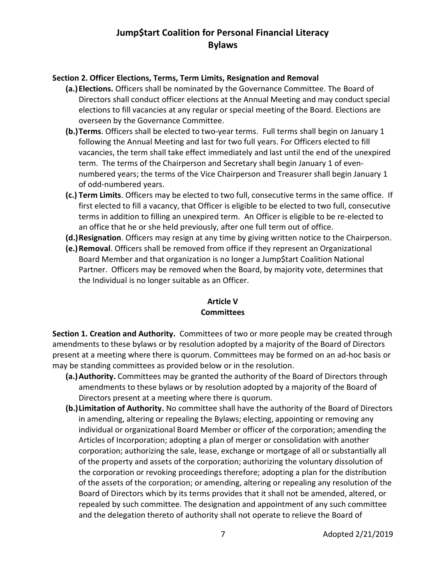#### **Section 2. Officer Elections, Terms, Term Limits, Resignation and Removal**

- **(a.)Elections.** Officers shall be nominated by the Governance Committee. The Board of Directors shall conduct officer elections at the Annual Meeting and may conduct special elections to fill vacancies at any regular or special meeting of the Board. Elections are overseen by the Governance Committee.
- **(b.)Terms**. Officers shall be elected to two-year terms. Full terms shall begin on January 1 following the Annual Meeting and last for two full years. For Officers elected to fill vacancies, the term shall take effect immediately and last until the end of the unexpired term. The terms of the Chairperson and Secretary shall begin January 1 of evennumbered years; the terms of the Vice Chairperson and Treasurer shall begin January 1 of odd-numbered years.
- **(c.) Term Limits**. Officers may be elected to two full, consecutive terms in the same office. If first elected to fill a vacancy, that Officer is eligible to be elected to two full, consecutive terms in addition to filling an unexpired term. An Officer is eligible to be re-elected to an office that he or she held previously, after one full term out of office.
- **(d.)Resignation**. Officers may resign at any time by giving written notice to the Chairperson.
- **(e.)Removal**. Officers shall be removed from office if they represent an Organizational Board Member and that organization is no longer a Jump\$tart Coalition National Partner. Officers may be removed when the Board, by majority vote, determines that the Individual is no longer suitable as an Officer.

#### **Article V Committees**

**Section 1. Creation and Authority.** Committees of two or more people may be created through amendments to these bylaws or by resolution adopted by a majority of the Board of Directors present at a meeting where there is quorum. Committees may be formed on an ad-hoc basis or may be standing committees as provided below or in the resolution.

- **(a.)Authority.** Committees may be granted the authority of the Board of Directors through amendments to these bylaws or by resolution adopted by a majority of the Board of Directors present at a meeting where there is quorum.
- **(b.)Limitation of Authority.** No committee shall have the authority of the Board of Directors in amending, altering or repealing the Bylaws; electing, appointing or removing any individual or organizational Board Member or officer of the corporation; amending the Articles of Incorporation; adopting a plan of merger or consolidation with another corporation; authorizing the sale, lease, exchange or mortgage of all or substantially all of the property and assets of the corporation; authorizing the voluntary dissolution of the corporation or revoking proceedings therefore; adopting a plan for the distribution of the assets of the corporation; or amending, altering or repealing any resolution of the Board of Directors which by its terms provides that it shall not be amended, altered, or repealed by such committee. The designation and appointment of any such committee and the delegation thereto of authority shall not operate to relieve the Board of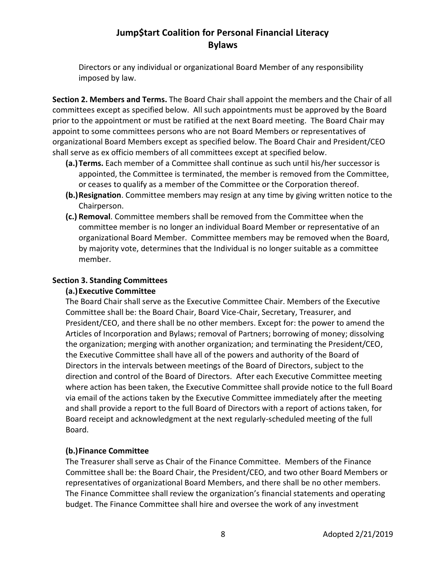Directors or any individual or organizational Board Member of any responsibility imposed by law.

**Section 2. Members and Terms.** The Board Chair shall appoint the members and the Chair of all committees except as specified below. All such appointments must be approved by the Board prior to the appointment or must be ratified at the next Board meeting. The Board Chair may appoint to some committees persons who are not Board Members or representatives of organizational Board Members except as specified below. The Board Chair and President/CEO shall serve as ex officio members of all committees except at specified below.

- **(a.)Terms.** Each member of a Committee shall continue as such until his/her successor is appointed, the Committee is terminated, the member is removed from the Committee, or ceases to qualify as a member of the Committee or the Corporation thereof.
- **(b.)Resignation**. Committee members may resign at any time by giving written notice to the Chairperson.
- **(c.) Removal**. Committee members shall be removed from the Committee when the committee member is no longer an individual Board Member or representative of an organizational Board Member. Committee members may be removed when the Board, by majority vote, determines that the Individual is no longer suitable as a committee member.

### **Section 3. Standing Committees**

### **(a.)Executive Committee**

The Board Chair shall serve as the Executive Committee Chair. Members of the Executive Committee shall be: the Board Chair, Board Vice-Chair, Secretary, Treasurer, and President/CEO, and there shall be no other members. Except for: the power to amend the Articles of Incorporation and Bylaws; removal of Partners; borrowing of money; dissolving the organization; merging with another organization; and terminating the President/CEO, the Executive Committee shall have all of the powers and authority of the Board of Directors in the intervals between meetings of the Board of Directors, subject to the direction and control of the Board of Directors. After each Executive Committee meeting where action has been taken, the Executive Committee shall provide notice to the full Board via email of the actions taken by the Executive Committee immediately after the meeting and shall provide a report to the full Board of Directors with a report of actions taken, for Board receipt and acknowledgment at the next regularly-scheduled meeting of the full Board.

### **(b.)Finance Committee**

The Treasurer shall serve as Chair of the Finance Committee. Members of the Finance Committee shall be: the Board Chair, the President/CEO, and two other Board Members or representatives of organizational Board Members, and there shall be no other members. The Finance Committee shall review the organization's financial statements and operating budget. The Finance Committee shall hire and oversee the work of any investment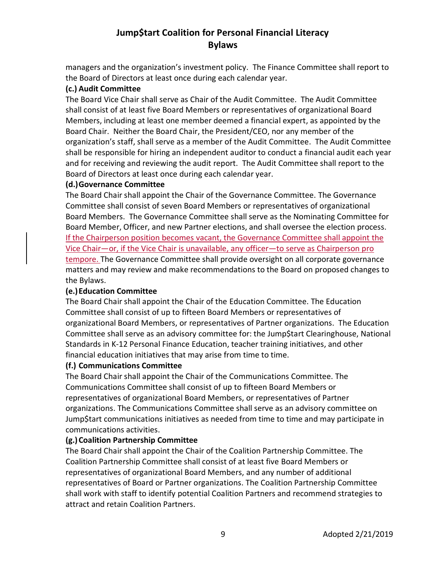managers and the organization's investment policy. The Finance Committee shall report to the Board of Directors at least once during each calendar year.

#### **(c.) Audit Committee**

The Board Vice Chair shall serve as Chair of the Audit Committee. The Audit Committee shall consist of at least five Board Members or representatives of organizational Board Members, including at least one member deemed a financial expert, as appointed by the Board Chair. Neither the Board Chair, the President/CEO, nor any member of the organization's staff, shall serve as a member of the Audit Committee. The Audit Committee shall be responsible for hiring an independent auditor to conduct a financial audit each year and for receiving and reviewing the audit report. The Audit Committee shall report to the Board of Directors at least once during each calendar year.

#### **(d.)Governance Committee**

The Board Chair shall appoint the Chair of the Governance Committee. The Governance Committee shall consist of seven Board Members or representatives of organizational Board Members. The Governance Committee shall serve as the Nominating Committee for Board Member, Officer, and new Partner elections, and shall oversee the election process. If the Chairperson position becomes vacant, the Governance Committee shall appoint the Vice Chair—or, if the Vice Chair is unavailable, any officer—to serve as Chairperson pro tempore. The Governance Committee shall provide oversight on all corporate governance matters and may review and make recommendations to the Board on proposed changes to the Bylaws.

### **(e.)Education Committee**

The Board Chair shall appoint the Chair of the Education Committee. The Education Committee shall consist of up to fifteen Board Members or representatives of organizational Board Members, or representatives of Partner organizations. The Education Committee shall serve as an advisory committee for: the Jump\$tart Clearinghouse, National Standards in K-12 Personal Finance Education, teacher training initiatives, and other financial education initiatives that may arise from time to time.

#### **(f.) Communications Committee**

The Board Chair shall appoint the Chair of the Communications Committee. The Communications Committee shall consist of up to fifteen Board Members or representatives of organizational Board Members, or representatives of Partner organizations. The Communications Committee shall serve as an advisory committee on Jump\$tart communications initiatives as needed from time to time and may participate in communications activities.

### **(g.)Coalition Partnership Committee**

The Board Chair shall appoint the Chair of the Coalition Partnership Committee. The Coalition Partnership Committee shall consist of at least five Board Members or representatives of organizational Board Members, and any number of additional representatives of Board or Partner organizations. The Coalition Partnership Committee shall work with staff to identify potential Coalition Partners and recommend strategies to attract and retain Coalition Partners.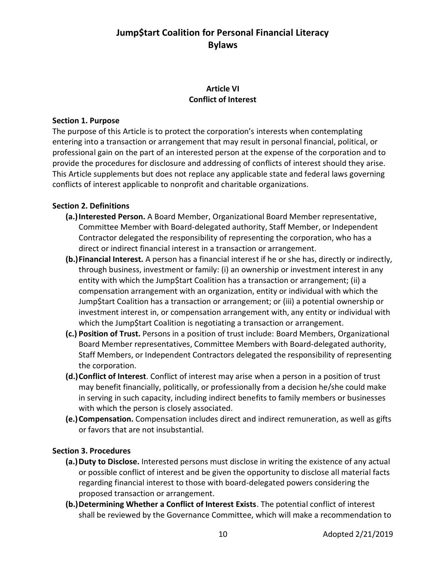### **Article VI Conflict of Interest**

#### **Section 1. Purpose**

The purpose of this Article is to protect the corporation's interests when contemplating entering into a transaction or arrangement that may result in personal financial, political, or professional gain on the part of an interested person at the expense of the corporation and to provide the procedures for disclosure and addressing of conflicts of interest should they arise. This Article supplements but does not replace any applicable state and federal laws governing conflicts of interest applicable to nonprofit and charitable organizations.

#### **Section 2. Definitions**

- **(a.)Interested Person.** A Board Member, Organizational Board Member representative, Committee Member with Board-delegated authority, Staff Member, or Independent Contractor delegated the responsibility of representing the corporation, who has a direct or indirect financial interest in a transaction or arrangement.
- **(b.)Financial Interest.** A person has a financial interest if he or she has, directly or indirectly, through business, investment or family: (i) an ownership or investment interest in any entity with which the Jump\$tart Coalition has a transaction or arrangement; (ii) a compensation arrangement with an organization, entity or individual with which the Jump\$tart Coalition has a transaction or arrangement; or (iii) a potential ownership or investment interest in, or compensation arrangement with, any entity or individual with which the Jump\$tart Coalition is negotiating a transaction or arrangement.
- **(c.) Position of Trust.** Persons in a position of trust include: Board Members, Organizational Board Member representatives, Committee Members with Board-delegated authority, Staff Members, or Independent Contractors delegated the responsibility of representing the corporation.
- **(d.)Conflict of Interest**. Conflict of interest may arise when a person in a position of trust may benefit financially, politically, or professionally from a decision he/she could make in serving in such capacity, including indirect benefits to family members or businesses with which the person is closely associated.
- **(e.)Compensation.** Compensation includes direct and indirect remuneration, as well as gifts or favors that are not insubstantial.

#### **Section 3. Procedures**

- **(a.)Duty to Disclose.** Interested persons must disclose in writing the existence of any actual or possible conflict of interest and be given the opportunity to disclose all material facts regarding financial interest to those with board-delegated powers considering the proposed transaction or arrangement.
- **(b.)Determining Whether a Conflict of Interest Exists**. The potential conflict of interest shall be reviewed by the Governance Committee, which will make a recommendation to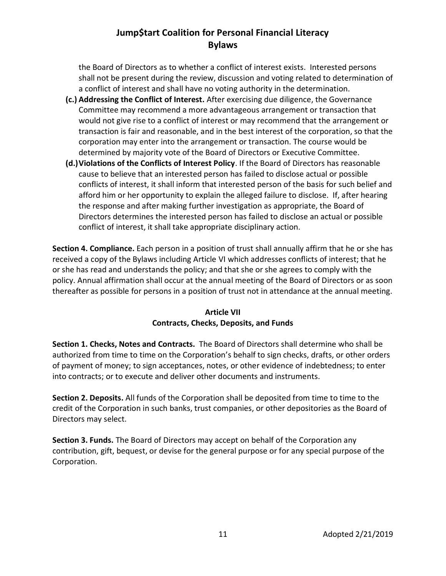the Board of Directors as to whether a conflict of interest exists. Interested persons shall not be present during the review, discussion and voting related to determination of a conflict of interest and shall have no voting authority in the determination.

- **(c.) Addressing the Conflict of Interest.** After exercising due diligence, the Governance Committee may recommend a more advantageous arrangement or transaction that would not give rise to a conflict of interest or may recommend that the arrangement or transaction is fair and reasonable, and in the best interest of the corporation, so that the corporation may enter into the arrangement or transaction. The course would be determined by majority vote of the Board of Directors or Executive Committee.
- **(d.)Violations of the Conflicts of Interest Policy**. If the Board of Directors has reasonable cause to believe that an interested person has failed to disclose actual or possible conflicts of interest, it shall inform that interested person of the basis for such belief and afford him or her opportunity to explain the alleged failure to disclose. If, after hearing the response and after making further investigation as appropriate, the Board of Directors determines the interested person has failed to disclose an actual or possible conflict of interest, it shall take appropriate disciplinary action.

**Section 4. Compliance.** Each person in a position of trust shall annually affirm that he or she has received a copy of the Bylaws including Article VI which addresses conflicts of interest; that he or she has read and understands the policy; and that she or she agrees to comply with the policy. Annual affirmation shall occur at the annual meeting of the Board of Directors or as soon thereafter as possible for persons in a position of trust not in attendance at the annual meeting.

### **Article VII Contracts, Checks, Deposits, and Funds**

**Section 1. Checks, Notes and Contracts.** The Board of Directors shall determine who shall be authorized from time to time on the Corporation's behalf to sign checks, drafts, or other orders of payment of money; to sign acceptances, notes, or other evidence of indebtedness; to enter into contracts; or to execute and deliver other documents and instruments.

**Section 2. Deposits.** All funds of the Corporation shall be deposited from time to time to the credit of the Corporation in such banks, trust companies, or other depositories as the Board of Directors may select.

**Section 3. Funds.** The Board of Directors may accept on behalf of the Corporation any contribution, gift, bequest, or devise for the general purpose or for any special purpose of the Corporation.